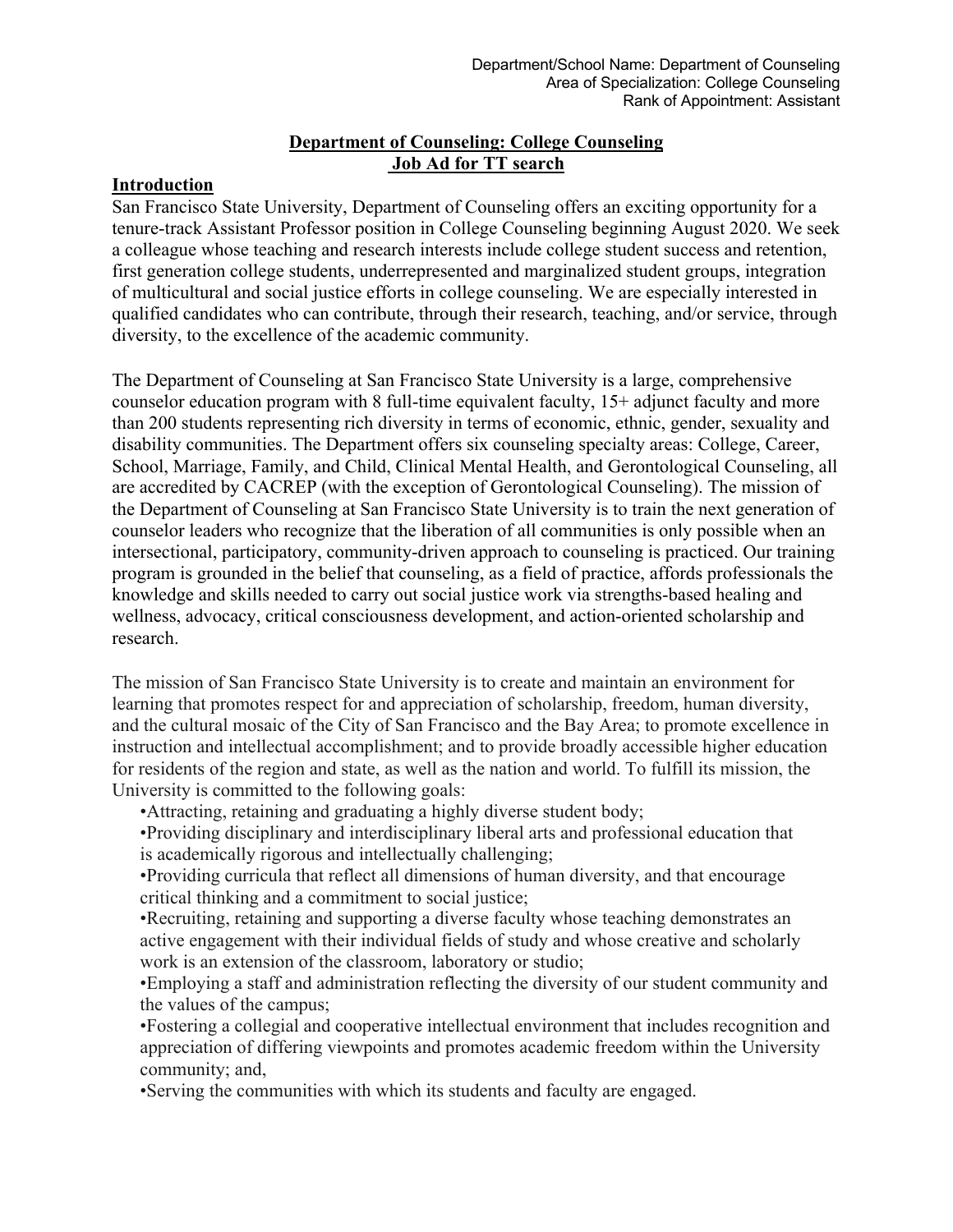## **Department of Counseling: College Counseling Job Ad for TT search**

## **Introduction**

San Francisco State University, Department of Counseling offers an exciting opportunity for a tenure-track Assistant Professor position in College Counseling beginning August 2020. We seek a colleague whose teaching and research interests include college student success and retention, first generation college students, underrepresented and marginalized student groups, integration of multicultural and social justice efforts in college counseling. We are especially interested in qualified candidates who can contribute, through their research, teaching, and/or service, through diversity, to the excellence of the academic community.

The Department of Counseling at San Francisco State University is a large, comprehensive counselor education program with 8 full-time equivalent faculty, 15+ adjunct faculty and more than 200 students representing rich diversity in terms of economic, ethnic, gender, sexuality and disability communities. The Department offers six counseling specialty areas: College, Career, School, Marriage, Family, and Child, Clinical Mental Health, and Gerontological Counseling, all are accredited by CACREP (with the exception of Gerontological Counseling). The mission of the Department of Counseling at San Francisco State University is to train the next generation of counselor leaders who recognize that the liberation of all communities is only possible when an intersectional, participatory, community-driven approach to counseling is practiced. Our training program is grounded in the belief that counseling, as a field of practice, affords professionals the knowledge and skills needed to carry out social justice work via strengths-based healing and wellness, advocacy, critical consciousness development, and action-oriented scholarship and research.

The mission of San Francisco State University is to create and maintain an environment for learning that promotes respect for and appreciation of scholarship, freedom, human diversity, and the cultural mosaic of the City of San Francisco and the Bay Area; to promote excellence in instruction and intellectual accomplishment; and to provide broadly accessible higher education for residents of the region and state, as well as the nation and world. To fulfill its mission, the University is committed to the following goals:

•Attracting, retaining and graduating a highly diverse student body;

•Providing disciplinary and interdisciplinary liberal arts and professional education that is academically rigorous and intellectually challenging;

•Providing curricula that reflect all dimensions of human diversity, and that encourage critical thinking and a commitment to social justice;

•Recruiting, retaining and supporting a diverse faculty whose teaching demonstrates an active engagement with their individual fields of study and whose creative and scholarly work is an extension of the classroom, laboratory or studio;

•Employing a staff and administration reflecting the diversity of our student community and the values of the campus;

•Fostering a collegial and cooperative intellectual environment that includes recognition and appreciation of differing viewpoints and promotes academic freedom within the University community; and,

•Serving the communities with which its students and faculty are engaged.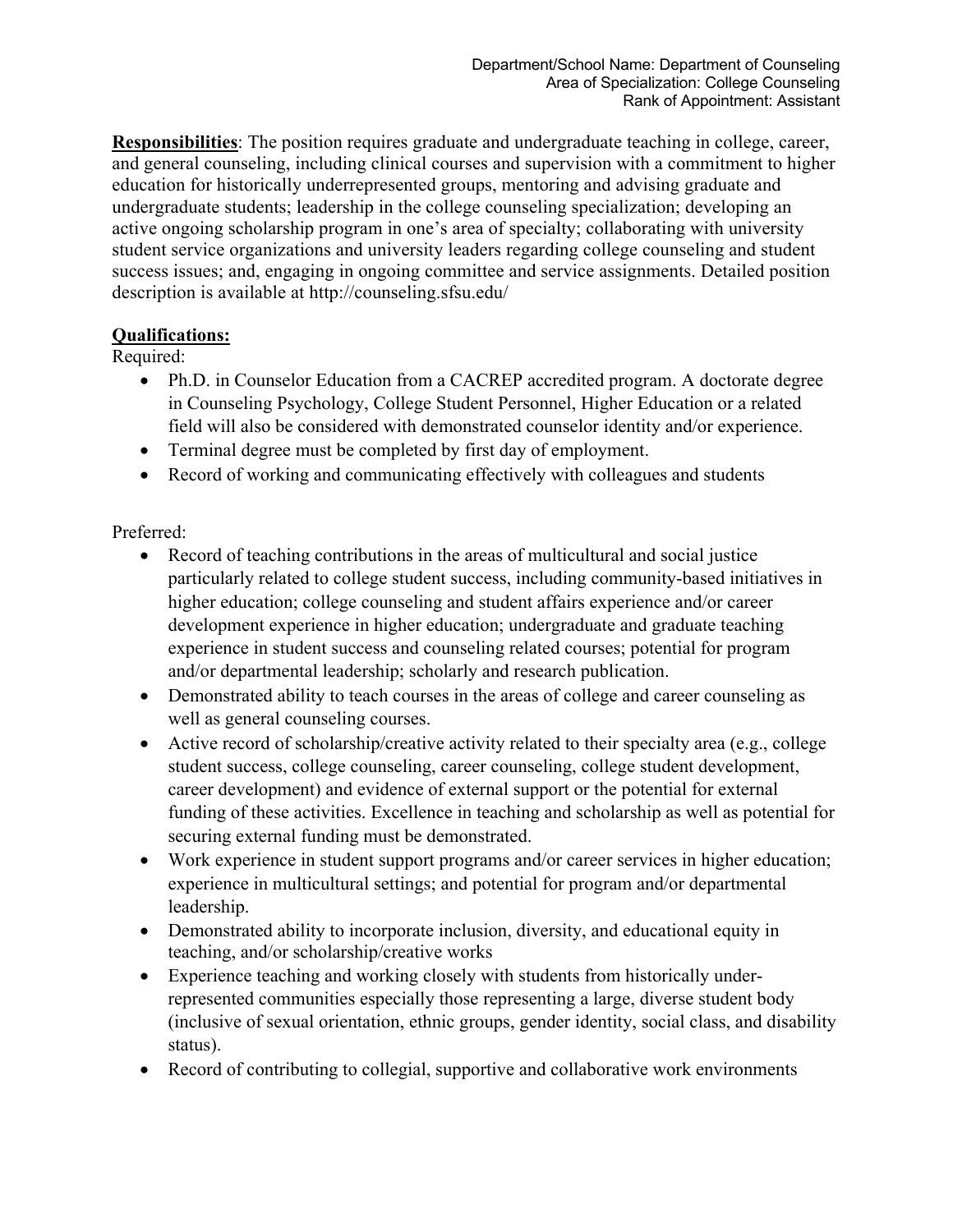**Responsibilities**: The position requires graduate and undergraduate teaching in college, career, and general counseling, including clinical courses and supervision with a commitment to higher education for historically underrepresented groups, mentoring and advising graduate and undergraduate students; leadership in the college counseling specialization; developing an active ongoing scholarship program in one's area of specialty; collaborating with university student service organizations and university leaders regarding college counseling and student success issues; and, engaging in ongoing committee and service assignments. Detailed position description is available at http://counseling.sfsu.edu/

## **Qualifications:**

Required:

- Ph.D. in Counselor Education from a CACREP accredited program. A doctorate degree in Counseling Psychology, College Student Personnel, Higher Education or a related field will also be considered with demonstrated counselor identity and/or experience.
- Terminal degree must be completed by first day of employment.
- Record of working and communicating effectively with colleagues and students

Preferred:

- Record of teaching contributions in the areas of multicultural and social justice particularly related to college student success, including community-based initiatives in higher education; college counseling and student affairs experience and/or career development experience in higher education; undergraduate and graduate teaching experience in student success and counseling related courses; potential for program and/or departmental leadership; scholarly and research publication.
- Demonstrated ability to teach courses in the areas of college and career counseling as well as general counseling courses.
- Active record of scholarship/creative activity related to their specialty area (e.g., college student success, college counseling, career counseling, college student development, career development) and evidence of external support or the potential for external funding of these activities. Excellence in teaching and scholarship as well as potential for securing external funding must be demonstrated.
- Work experience in student support programs and/or career services in higher education; experience in multicultural settings; and potential for program and/or departmental leadership.
- Demonstrated ability to incorporate inclusion, diversity, and educational equity in teaching, and/or scholarship/creative works
- Experience teaching and working closely with students from historically underrepresented communities especially those representing a large, diverse student body (inclusive of sexual orientation, ethnic groups, gender identity, social class, and disability status).
- Record of contributing to collegial, supportive and collaborative work environments